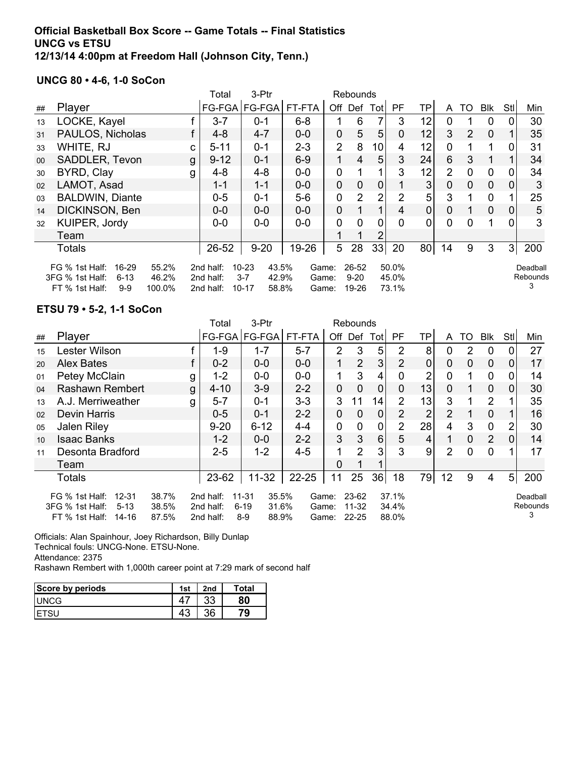### **Official Basketball Box Score -- Game Totals -- Final Statistics UNCG vs ETSU 12/13/14 4:00pm at Freedom Hall (Johnson City, Tenn.)**

## **UNCG 80 • 4-6, 1-0 SoCon**

|                                                                                                                                                                                                                                                                                                             |                        |    | Total    | 3-Ptr           | Rebounds |                |                      |                 |           |                |                |                |                |                |     |
|-------------------------------------------------------------------------------------------------------------------------------------------------------------------------------------------------------------------------------------------------------------------------------------------------------------|------------------------|----|----------|-----------------|----------|----------------|----------------------|-----------------|-----------|----------------|----------------|----------------|----------------|----------------|-----|
| ##                                                                                                                                                                                                                                                                                                          | Player                 |    |          | FG-FGA   FG-FGA | FT-FTA   | Off            | Def                  | Totl            | <b>PF</b> | TP             | A              | TO             | <b>Blk</b>     | StI            | Min |
| 13                                                                                                                                                                                                                                                                                                          | LOCKE, Kayel           |    | $3 - 7$  | $0 - 1$         | $6 - 8$  |                | 6                    | 7               | 3         | 12             | 0              |                | 0              |                | 30  |
| 31                                                                                                                                                                                                                                                                                                          | PAULOS, Nicholas       |    | $4 - 8$  | $4 - 7$         | $0-0$    | $\mathbf 0$    | 5                    | 5               | 0         | 12             | 3              | $\overline{2}$ | $\overline{0}$ |                | 35  |
| 33                                                                                                                                                                                                                                                                                                          | WHITE, RJ              | C. | $5 - 11$ | $0 - 1$         | $2 - 3$  | $\overline{2}$ | 8                    | 10 <sup>1</sup> | 4         | 12             | 0              |                |                |                | 31  |
| 00                                                                                                                                                                                                                                                                                                          | SADDLER, Tevon         | g  | $9 - 12$ | $0 - 1$         | $6-9$    |                | 4                    | 5               | 3         | 24             | 6              | 3              |                |                | 34  |
| 30                                                                                                                                                                                                                                                                                                          | BYRD, Clay             | g  | $4 - 8$  | $4 - 8$         | $0-0$    | 0              |                      |                 | 3         | 12             | $\overline{2}$ | 0              | 0              | 0              | 34  |
| 02                                                                                                                                                                                                                                                                                                          | LAMOT, Asad            |    | $1 - 1$  | $1 - 1$         | $0-0$    | $\mathbf 0$    | 0                    | $\overline{0}$  |           | 3              | 0              | 0              | $\mathbf 0$    | 0              | 3   |
| 03                                                                                                                                                                                                                                                                                                          | <b>BALDWIN, Diante</b> |    | $0-5$    | $0 - 1$         | $5-6$    | 0              | $\overline{2}$       | 2               | 2         | 5 <sup>1</sup> | 3              |                | $\mathbf 0$    |                | 25  |
| 14                                                                                                                                                                                                                                                                                                          | DICKINSON, Ben         |    | $0 - 0$  | $0 - 0$         | $0-0$    | $\mathbf 0$    |                      | 1               | 4         | $\overline{0}$ | 0              |                | $\overline{0}$ | 0              | 5   |
| 32                                                                                                                                                                                                                                                                                                          | KUIPER, Jordy          |    | $0-0$    | $0-0$           | $0-0$    | 0              | $\Omega$             | 0               | $\Omega$  | 0              | $\Omega$       | 0              |                |                | 3   |
|                                                                                                                                                                                                                                                                                                             | Team                   |    |          |                 |          |                |                      | 2               |           |                |                |                |                |                |     |
|                                                                                                                                                                                                                                                                                                             | <b>Totals</b>          |    | 26-52    | $9 - 20$        | 19-26    | 5              | 28                   | 33              | 20        | 80             | 14             | 9              | 3              | $\overline{3}$ | 200 |
| $10 - 23$<br>43.5%<br>50.0%<br>16-29<br>55.2%<br>2nd half:<br>26-52<br>FG % 1st Half:<br>Game:<br>3FG % 1st Half:<br>$6 - 13$<br>46.2%<br>$3 - 7$<br>42.9%<br>$9-20$<br>45.0%<br>2nd half:<br>Game:<br>3<br>$10 - 17$<br>73.1%<br>FT % 1st Half:<br>$9-9$<br>100.0%<br>2nd half:<br>58.8%<br>19-26<br>Game: |                        |    |          |                 |          |                | Deadball<br>Rebounds |                 |           |                |                |                |                |                |     |

#### **ETSU 79 • 5-2, 1-1 SoCon**

|    |                                                                                           |                         | Total                               | 3-Ptr<br>Rebounds                                     |                         |                |                             |                |                         |                 |                |                |                |                |                           |
|----|-------------------------------------------------------------------------------------------|-------------------------|-------------------------------------|-------------------------------------------------------|-------------------------|----------------|-----------------------------|----------------|-------------------------|-----------------|----------------|----------------|----------------|----------------|---------------------------|
| ## | Player                                                                                    |                         | $FG-FGA$                            | FG-FGA                                                | FT-FTA                  | Off            | Def                         | Totl           | PF.                     | TP              | A              | TO             | <b>Blk</b>     | StI            | Min                       |
| 15 | Lester Wilson                                                                             |                         | $1 - 9$                             | $1 - 7$                                               | $5 - 7$                 | $\overline{2}$ | 3                           | 5              | 2                       | 8               | 0              | 2              | 0              | 0              | 27                        |
| 20 | <b>Alex Bates</b>                                                                         |                         | $0 - 2$                             | $0-0$                                                 | $0-0$                   |                | $\overline{2}$              | 3 <sup>1</sup> | $\overline{2}$          | 0               | $\mathbf{0}$   | $\mathbf{0}$   | $\mathbf 0$    | $\overline{0}$ | 17                        |
| 01 | Petey McClain                                                                             | g                       | $1 - 2$                             | $0-0$                                                 | $0-0$                   |                | 3                           | 4              | $\mathbf 0$             | $\overline{2}$  | $\mathbf 0$    | 1              | $\mathbf 0$    | $\Omega$       | 14                        |
| 04 | Rashawn Rembert                                                                           | g                       | $4 - 10$                            | $3-9$                                                 | $2 - 2$                 | 0              | $\overline{0}$              | $\mathbf 0$    | $\Omega$                | 13 <sub>1</sub> | $\overline{0}$ |                | $\mathbf 0$    | $\overline{0}$ | 30                        |
| 13 | A.J. Merriweather                                                                         | g                       | $5 - 7$                             | $0 - 1$                                               | $3 - 3$                 | 3              | 11                          | 14             | $\overline{2}$          | 13              | 3              |                | 2              |                | 35                        |
| 02 | <b>Devin Harris</b>                                                                       |                         | $0 - 5$                             | $0 - 1$                                               | $2 - 2$                 | 0              | $\overline{0}$              | 0              | $\overline{2}$          | $\overline{2}$  | $\overline{2}$ |                | $\overline{0}$ |                | 16                        |
| 05 | Jalen Riley                                                                               |                         | $9 - 20$                            | $6 - 12$                                              | $4 - 4$                 | $\mathbf 0$    | $\mathbf 0$                 | $\mathbf 0$    | $\overline{2}$          | 28              | 4              | 3              | $\mathbf 0$    | $\overline{2}$ | 30                        |
| 10 | <b>Isaac Banks</b>                                                                        |                         | $1 - 2$                             | $0-0$                                                 | $2 - 2$                 | 3              | 3                           | $6 \mid$       | 5                       | 4               |                | $\overline{0}$ | $\overline{2}$ | $\mathbf{0}$   | 14                        |
| 11 | Desonta Bradford                                                                          |                         | $2 - 5$                             | $1 - 2$                                               | $4 - 5$                 | 1              | $\overline{2}$              | 3              | 3                       | 9               | $\overline{2}$ | $\mathbf 0$    | $\mathbf 0$    |                | 17                        |
|    | Team                                                                                      |                         |                                     |                                                       |                         | 0              |                             |                |                         |                 |                |                |                |                |                           |
|    | <b>Totals</b>                                                                             |                         | 23-62                               | $11 - 32$                                             | $22 - 25$               | 11             | 25                          | 36             | 18                      | 79              | 12             | 9              | 4              | 5 <sub>l</sub> | 200                       |
|    | $12 - 31$<br>FG % 1st Half:<br>3FG % 1st Half:<br>$5 - 13$<br>FT % 1st Half:<br>$14 - 16$ | 38.7%<br>38.5%<br>87.5% | 2nd half:<br>2nd half:<br>2nd half: | 35.5%<br>11-31<br>$6 - 19$<br>31.6%<br>$8-9$<br>88.9% | Game:<br>Game:<br>Game: |                | 23-62<br>11-32<br>$22 - 25$ |                | 37.1%<br>34.4%<br>88.0% |                 |                |                |                |                | Deadball<br>Rebounds<br>3 |

Officials: Alan Spainhour, Joey Richardson, Billy Dunlap

Technical fouls: UNCG-None. ETSU-None.

Attendance: 2375

Rashawn Rembert with 1,000th career point at 7:29 mark of second half

| Score by periods | 1st     | 2nd      | <b>Total</b> |
|------------------|---------|----------|--------------|
| <b>UNCG</b>      |         | າາ<br>აა | 80           |
|                  | ៱<br>4٥ | 36       | 79           |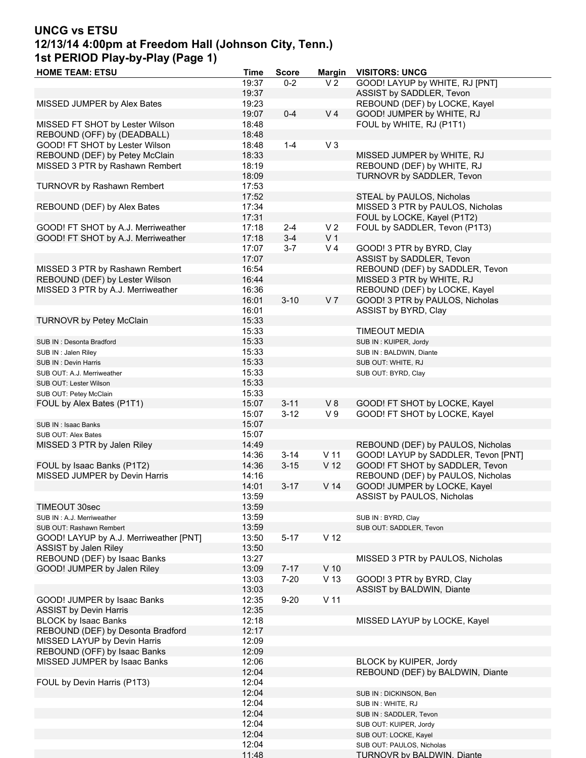# **UNCG vs ETSU 12/13/14 4:00pm at Freedom Hall (Johnson City, Tenn.) 1st PERIOD Play-by-Play (Page 1)**

| <b>HOME TEAM: ETSU</b>                 | <b>Time</b> | <b>Score</b> | <b>Margin</b>   | <b>VISITORS: UNCG</b>               |
|----------------------------------------|-------------|--------------|-----------------|-------------------------------------|
|                                        | 19:37       | $0 - 2$      | V <sub>2</sub>  | GOOD! LAYUP by WHITE, RJ [PNT]      |
|                                        | 19:37       |              |                 | ASSIST by SADDLER, Tevon            |
| MISSED JUMPER by Alex Bates            | 19:23       |              |                 | REBOUND (DEF) by LOCKE, Kayel       |
|                                        | 19:07       | $0 - 4$      | V <sub>4</sub>  | GOOD! JUMPER by WHITE, RJ           |
|                                        |             |              |                 |                                     |
| MISSED FT SHOT by Lester Wilson        | 18:48       |              |                 | FOUL by WHITE, RJ (P1T1)            |
| REBOUND (OFF) by (DEADBALL)            | 18:48       |              |                 |                                     |
| GOOD! FT SHOT by Lester Wilson         | 18:48       | $1 - 4$      | $V_3$           |                                     |
| REBOUND (DEF) by Petey McClain         | 18:33       |              |                 | MISSED JUMPER by WHITE, RJ          |
| MISSED 3 PTR by Rashawn Rembert        | 18:19       |              |                 | REBOUND (DEF) by WHITE, RJ          |
|                                        | 18:09       |              |                 | TURNOVR by SADDLER, Tevon           |
| TURNOVR by Rashawn Rembert             | 17:53       |              |                 |                                     |
|                                        |             |              |                 |                                     |
|                                        | 17:52       |              |                 | STEAL by PAULOS, Nicholas           |
| REBOUND (DEF) by Alex Bates            | 17:34       |              |                 | MISSED 3 PTR by PAULOS, Nicholas    |
|                                        | 17:31       |              |                 | FOUL by LOCKE, Kayel (P1T2)         |
| GOOD! FT SHOT by A.J. Merriweather     | 17:18       | $2 - 4$      | V <sub>2</sub>  | FOUL by SADDLER, Tevon (P1T3)       |
| GOOD! FT SHOT by A.J. Merriweather     | 17:18       | $3 - 4$      | V <sub>1</sub>  |                                     |
|                                        | 17:07       | $3 - 7$      | V <sub>4</sub>  | GOOD! 3 PTR by BYRD, Clay           |
|                                        | 17:07       |              |                 | ASSIST by SADDLER, Tevon            |
|                                        |             |              |                 |                                     |
| MISSED 3 PTR by Rashawn Rembert        | 16:54       |              |                 | REBOUND (DEF) by SADDLER, Tevon     |
| REBOUND (DEF) by Lester Wilson         | 16:44       |              |                 | MISSED 3 PTR by WHITE, RJ           |
| MISSED 3 PTR by A.J. Merriweather      | 16:36       |              |                 | REBOUND (DEF) by LOCKE, Kayel       |
|                                        | 16:01       | $3 - 10$     | V <sub>7</sub>  | GOOD! 3 PTR by PAULOS, Nicholas     |
|                                        | 16:01       |              |                 | ASSIST by BYRD, Clay                |
| <b>TURNOVR by Petey McClain</b>        | 15:33       |              |                 |                                     |
|                                        | 15:33       |              |                 | <b>TIMEOUT MEDIA</b>                |
|                                        |             |              |                 |                                     |
| SUB IN: Desonta Bradford               | 15:33       |              |                 | SUB IN: KUIPER, Jordy               |
| SUB IN: Jalen Riley                    | 15:33       |              |                 | SUB IN: BALDWIN, Diante             |
| SUB IN: Devin Harris                   | 15:33       |              |                 | SUB OUT: WHITE, RJ                  |
| SUB OUT: A.J. Merriweather             | 15:33       |              |                 | SUB OUT: BYRD, Clay                 |
| SUB OUT: Lester Wilson                 | 15:33       |              |                 |                                     |
| SUB OUT: Petey McClain                 | 15:33       |              |                 |                                     |
|                                        |             |              |                 |                                     |
| FOUL by Alex Bates (P1T1)              | 15:07       | $3 - 11$     | V8              | GOOD! FT SHOT by LOCKE, Kayel       |
|                                        | 15:07       | $3 - 12$     | V <sub>9</sub>  | GOOD! FT SHOT by LOCKE, Kayel       |
| SUB IN: Isaac Banks                    | 15:07       |              |                 |                                     |
| SUB OUT: Alex Bates                    | 15:07       |              |                 |                                     |
| MISSED 3 PTR by Jalen Riley            | 14:49       |              |                 | REBOUND (DEF) by PAULOS, Nicholas   |
|                                        | 14:36       | $3 - 14$     | V <sub>11</sub> | GOOD! LAYUP by SADDLER, Tevon [PNT] |
| FOUL by Isaac Banks (P1T2)             | 14:36       | $3 - 15$     | V <sub>12</sub> | GOOD! FT SHOT by SADDLER, Tevon     |
| MISSED JUMPER by Devin Harris          | 14:16       |              |                 | REBOUND (DEF) by PAULOS, Nicholas   |
|                                        |             |              |                 |                                     |
|                                        | 14:01       | $3 - 17$     | V <sub>14</sub> | GOOD! JUMPER by LOCKE, Kayel        |
|                                        | 13:59       |              |                 | ASSIST by PAULOS, Nicholas          |
| TIMEOUT 30sec                          | 13:59       |              |                 |                                     |
| SUB IN: A.J. Merriweather              | 13:59       |              |                 | SUB IN: BYRD, Clay                  |
| SUB OUT: Rashawn Rembert               | 13:59       |              |                 | SUB OUT: SADDLER, Tevon             |
| GOOD! LAYUP by A.J. Merriweather [PNT] | 13:50       | $5 - 17$     | V <sub>12</sub> |                                     |
| ASSIST by Jalen Riley                  | 13:50       |              |                 |                                     |
|                                        |             |              |                 |                                     |
| REBOUND (DEF) by Isaac Banks           | 13:27       |              |                 | MISSED 3 PTR by PAULOS, Nicholas    |
| GOOD! JUMPER by Jalen Riley            | 13:09       | $7 - 17$     | $V$ 10          |                                     |
|                                        | 13:03       | $7 - 20$     | V <sub>13</sub> | GOOD! 3 PTR by BYRD, Clay           |
|                                        | 13:03       |              |                 | ASSIST by BALDWIN, Diante           |
| GOOD! JUMPER by Isaac Banks            | 12:35       | $9 - 20$     | V <sub>11</sub> |                                     |
| <b>ASSIST by Devin Harris</b>          | 12:35       |              |                 |                                     |
| <b>BLOCK by Isaac Banks</b>            | 12:18       |              |                 | MISSED LAYUP by LOCKE, Kayel        |
| REBOUND (DEF) by Desonta Bradford      | 12:17       |              |                 |                                     |
|                                        |             |              |                 |                                     |
| MISSED LAYUP by Devin Harris           | 12:09       |              |                 |                                     |
| REBOUND (OFF) by Isaac Banks           | 12:09       |              |                 |                                     |
| MISSED JUMPER by Isaac Banks           | 12:06       |              |                 | BLOCK by KUIPER, Jordy              |
|                                        | 12:04       |              |                 | REBOUND (DEF) by BALDWIN, Diante    |
| FOUL by Devin Harris (P1T3)            | 12:04       |              |                 |                                     |
|                                        | 12:04       |              |                 | SUB IN : DICKINSON, Ben             |
|                                        | 12:04       |              |                 |                                     |
|                                        |             |              |                 | SUB IN: WHITE, RJ                   |
|                                        | 12:04       |              |                 | SUB IN: SADDLER, Tevon              |
|                                        | 12:04       |              |                 | SUB OUT: KUIPER, Jordy              |
|                                        | 12:04       |              |                 | SUB OUT: LOCKE, Kayel               |
|                                        | 12:04       |              |                 | SUB OUT: PAULOS, Nicholas           |
|                                        | 11:48       |              |                 | <b>TURNOVR by BALDWIN. Diante</b>   |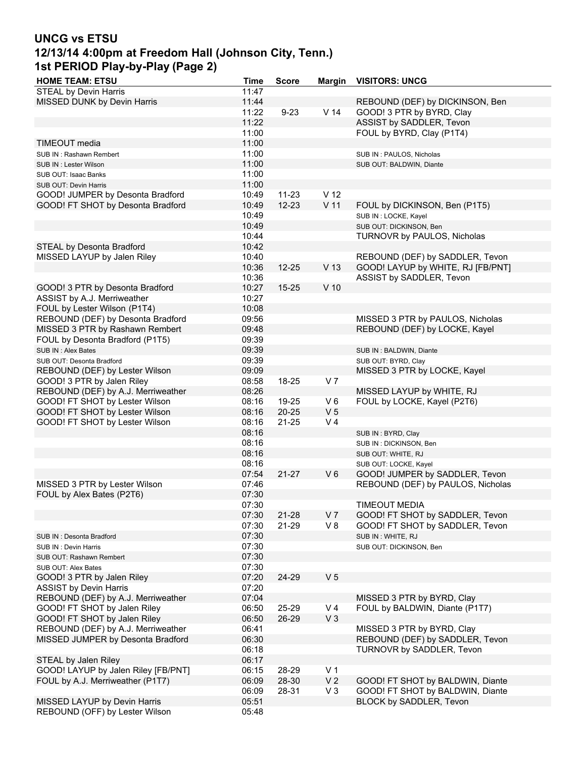# **UNCG vs ETSU 12/13/14 4:00pm at Freedom Hall (Johnson City, Tenn.) 1st PERIOD Play-by-Play (Page 2)**

| <b>HOME TEAM: ETSU</b>              | <b>Time</b> | <b>Score</b> | <b>Margin</b>   | <b>VISITORS: UNCG</b>             |
|-------------------------------------|-------------|--------------|-----------------|-----------------------------------|
| <b>STEAL by Devin Harris</b>        | 11:47       |              |                 |                                   |
| MISSED DUNK by Devin Harris         | 11:44       |              |                 | REBOUND (DEF) by DICKINSON, Ben   |
|                                     | 11:22       | $9 - 23$     | V <sub>14</sub> | GOOD! 3 PTR by BYRD, Clay         |
|                                     | 11:22       |              |                 | ASSIST by SADDLER, Tevon          |
|                                     | 11:00       |              |                 | FOUL by BYRD, Clay (P1T4)         |
| TIMEOUT media                       | 11:00       |              |                 |                                   |
| SUB IN: Rashawn Rembert             | 11:00       |              |                 | SUB IN: PAULOS, Nicholas          |
| SUB IN : Lester Wilson              | 11:00       |              |                 | SUB OUT: BALDWIN, Diante          |
| SUB OUT: Isaac Banks                | 11:00       |              |                 |                                   |
| SUB OUT: Devin Harris               | 11:00       |              |                 |                                   |
| GOOD! JUMPER by Desonta Bradford    | 10:49       | $11 - 23$    | V <sub>12</sub> |                                   |
| GOOD! FT SHOT by Desonta Bradford   | 10:49       | $12 - 23$    | V <sub>11</sub> | FOUL by DICKINSON, Ben (P1T5)     |
|                                     | 10:49       |              |                 | SUB IN: LOCKE, Kayel              |
|                                     | 10:49       |              |                 | SUB OUT: DICKINSON, Ben           |
|                                     | 10:44       |              |                 | TURNOVR by PAULOS, Nicholas       |
| STEAL by Desonta Bradford           | 10:42       |              |                 |                                   |
| MISSED LAYUP by Jalen Riley         | 10:40       |              |                 | REBOUND (DEF) by SADDLER, Tevon   |
|                                     | 10:36       | $12 - 25$    | V <sub>13</sub> | GOOD! LAYUP by WHITE, RJ [FB/PNT] |
|                                     | 10:36       |              |                 | ASSIST by SADDLER, Tevon          |
| GOOD! 3 PTR by Desonta Bradford     | 10:27       | $15 - 25$    | $V$ 10          |                                   |
| ASSIST by A.J. Merriweather         | 10:27       |              |                 |                                   |
| FOUL by Lester Wilson (P1T4)        | 10:08       |              |                 |                                   |
| REBOUND (DEF) by Desonta Bradford   | 09:56       |              |                 | MISSED 3 PTR by PAULOS, Nicholas  |
| MISSED 3 PTR by Rashawn Rembert     | 09:48       |              |                 | REBOUND (DEF) by LOCKE, Kayel     |
| FOUL by Desonta Bradford (P1T5)     | 09:39       |              |                 |                                   |
| SUB IN: Alex Bates                  | 09:39       |              |                 | SUB IN: BALDWIN, Diante           |
| SUB OUT: Desonta Bradford           | 09:39       |              |                 | SUB OUT: BYRD, Clay               |
| REBOUND (DEF) by Lester Wilson      | 09:09       |              |                 | MISSED 3 PTR by LOCKE, Kayel      |
| GOOD! 3 PTR by Jalen Riley          | 08:58       | 18-25        | V <sub>7</sub>  |                                   |
| REBOUND (DEF) by A.J. Merriweather  | 08:26       |              |                 | MISSED LAYUP by WHITE, RJ         |
| GOOD! FT SHOT by Lester Wilson      | 08:16       | 19-25        | $V_6$           | FOUL by LOCKE, Kayel (P2T6)       |
| GOOD! FT SHOT by Lester Wilson      | 08:16       | 20-25        | V <sub>5</sub>  |                                   |
| GOOD! FT SHOT by Lester Wilson      | 08:16       | $21 - 25$    | V <sub>4</sub>  |                                   |
|                                     | 08:16       |              |                 | SUB IN: BYRD, Clay                |
|                                     | 08:16       |              |                 | SUB IN : DICKINSON, Ben           |
|                                     | 08:16       |              |                 | SUB OUT: WHITE, RJ                |
|                                     | 08:16       |              |                 | SUB OUT: LOCKE, Kayel             |
|                                     | 07:54       | $21 - 27$    | $V_6$           | GOOD! JUMPER by SADDLER, Tevon    |
| MISSED 3 PTR by Lester Wilson       | 07:46       |              |                 | REBOUND (DEF) by PAULOS, Nicholas |
| FOUL by Alex Bates (P2T6)           | 07:30       |              |                 |                                   |
|                                     | 07:30       |              |                 | TIMFOUT MEDIA                     |
|                                     | 07:30       | 21-28        | V <sub>7</sub>  | GOOD! FT SHOT by SADDLER, Tevon   |
|                                     | 07:30       | 21-29        | V 8             | GOOD! FT SHOT by SADDLER, Tevon   |
| SUB IN: Desonta Bradford            | 07:30       |              |                 | SUB IN: WHITE, RJ                 |
| SUB IN: Devin Harris                | 07:30       |              |                 | SUB OUT: DICKINSON, Ben           |
| SUB OUT: Rashawn Rembert            | 07:30       |              |                 |                                   |
| SUB OUT: Alex Bates                 | 07:30       |              |                 |                                   |
| GOOD! 3 PTR by Jalen Riley          | 07:20       | 24-29        | V <sub>5</sub>  |                                   |
| <b>ASSIST by Devin Harris</b>       | 07:20       |              |                 |                                   |
| REBOUND (DEF) by A.J. Merriweather  | 07:04       |              |                 | MISSED 3 PTR by BYRD, Clay        |
| GOOD! FT SHOT by Jalen Riley        | 06:50       | 25-29        | V <sub>4</sub>  | FOUL by BALDWIN, Diante (P1T7)    |
| GOOD! FT SHOT by Jalen Riley        | 06:50       | 26-29        | $V_3$           |                                   |
| REBOUND (DEF) by A.J. Merriweather  | 06:41       |              |                 | MISSED 3 PTR by BYRD, Clay        |
| MISSED JUMPER by Desonta Bradford   | 06:30       |              |                 | REBOUND (DEF) by SADDLER, Tevon   |
|                                     | 06:18       |              |                 | TURNOVR by SADDLER, Tevon         |
| STEAL by Jalen Riley                | 06:17       |              |                 |                                   |
| GOOD! LAYUP by Jalen Riley [FB/PNT] | 06:15       | 28-29        | V <sub>1</sub>  |                                   |
| FOUL by A.J. Merriweather (P1T7)    | 06:09       | 28-30        | V <sub>2</sub>  | GOOD! FT SHOT by BALDWIN, Diante  |
|                                     | 06:09       | 28-31        | $V_3$           | GOOD! FT SHOT by BALDWIN, Diante  |
| MISSED LAYUP by Devin Harris        | 05:51       |              |                 | BLOCK by SADDLER, Tevon           |
| REBOUND (OFF) by Lester Wilson      | 05:48       |              |                 |                                   |
|                                     |             |              |                 |                                   |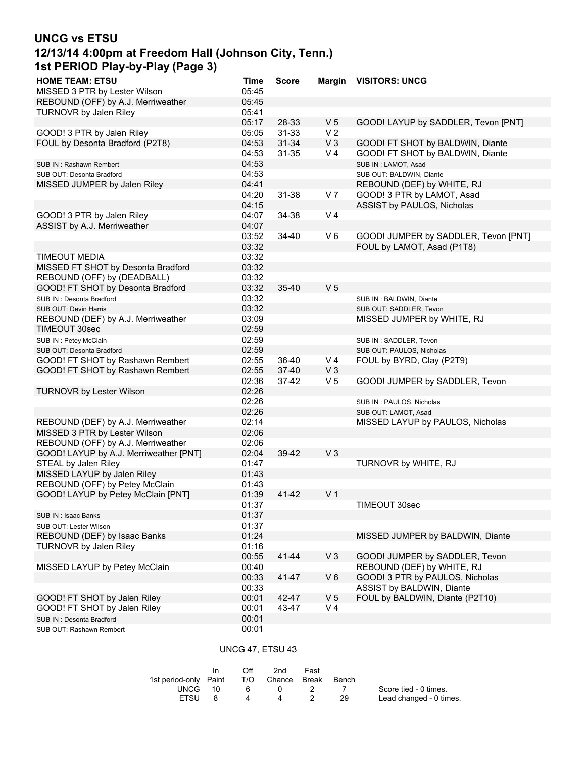## **UNCG vs ETSU 12/13/14 4:00pm at Freedom Hall (Johnson City, Tenn.) 1st PERIOD Play-by-Play (Page 3)**

| <b>HOME TEAM: ETSU</b>                 | <b>Time</b>    | <b>Score</b> | <b>Margin</b>  | <b>VISITORS: UNCG</b>                |
|----------------------------------------|----------------|--------------|----------------|--------------------------------------|
| MISSED 3 PTR by Lester Wilson          | 05:45          |              |                |                                      |
| REBOUND (OFF) by A.J. Merriweather     | 05:45          |              |                |                                      |
| TURNOVR by Jalen Riley                 | 05:41          |              |                |                                      |
|                                        | 05:17          | 28-33        | V <sub>5</sub> | GOOD! LAYUP by SADDLER, Tevon [PNT]  |
| GOOD! 3 PTR by Jalen Riley             | 05:05          | $31 - 33$    | V <sub>2</sub> |                                      |
| FOUL by Desonta Bradford (P2T8)        | 04:53          | $31 - 34$    | $V_3$          | GOOD! FT SHOT by BALDWIN, Diante     |
|                                        | 04:53          | 31-35        | V <sub>4</sub> | GOOD! FT SHOT by BALDWIN, Diante     |
| SUB IN: Rashawn Rembert                | 04:53          |              |                | SUB IN: LAMOT, Asad                  |
| SUB OUT: Desonta Bradford              | 04:53          |              |                | SUB OUT: BALDWIN, Diante             |
| MISSED JUMPER by Jalen Riley           | 04:41          |              |                | REBOUND (DEF) by WHITE, RJ           |
|                                        | 04:20          | 31-38        | V <sub>7</sub> | GOOD! 3 PTR by LAMOT, Asad           |
|                                        | 04:15          |              |                | ASSIST by PAULOS, Nicholas           |
| GOOD! 3 PTR by Jalen Riley             | 04:07          | 34-38        | V <sub>4</sub> |                                      |
| ASSIST by A.J. Merriweather            | 04:07          |              |                |                                      |
|                                        | 03:52          |              | $V_6$          |                                      |
|                                        |                | 34-40        |                | GOOD! JUMPER by SADDLER, Tevon [PNT] |
|                                        | 03:32          |              |                | FOUL by LAMOT, Asad (P1T8)           |
| <b>TIMEOUT MEDIA</b>                   | 03:32          |              |                |                                      |
| MISSED FT SHOT by Desonta Bradford     | 03:32          |              |                |                                      |
| REBOUND (OFF) by (DEADBALL)            | 03:32          |              |                |                                      |
| GOOD! FT SHOT by Desonta Bradford      | 03:32          | 35-40        | V <sub>5</sub> |                                      |
| SUB IN: Desonta Bradford               | 03:32          |              |                | SUB IN: BALDWIN, Diante              |
| SUB OUT: Devin Harris                  | 03:32          |              |                | SUB OUT: SADDLER, Tevon              |
| REBOUND (DEF) by A.J. Merriweather     | 03:09          |              |                | MISSED JUMPER by WHITE, RJ           |
| TIMEOUT 30sec                          | 02:59          |              |                |                                      |
| SUB IN: Petey McClain                  | 02:59          |              |                | SUB IN: SADDLER, Tevon               |
| SUB OUT: Desonta Bradford              | 02:59          |              |                | SUB OUT: PAULOS, Nicholas            |
| GOOD! FT SHOT by Rashawn Rembert       | 02:55          | 36-40        | V <sub>4</sub> | FOUL by BYRD, Clay (P2T9)            |
| GOOD! FT SHOT by Rashawn Rembert       | 02:55          | 37-40        | $V_3$          |                                      |
|                                        | 02:36          | 37-42        | V <sub>5</sub> | GOOD! JUMPER by SADDLER, Tevon       |
| <b>TURNOVR by Lester Wilson</b>        | 02:26          |              |                |                                      |
|                                        | 02:26          |              |                | SUB IN: PAULOS, Nicholas             |
|                                        | 02:26          |              |                | SUB OUT: LAMOT, Asad                 |
| REBOUND (DEF) by A.J. Merriweather     | 02:14          |              |                | MISSED LAYUP by PAULOS, Nicholas     |
| MISSED 3 PTR by Lester Wilson          | 02:06          |              |                |                                      |
| REBOUND (OFF) by A.J. Merriweather     | 02:06          |              |                |                                      |
| GOOD! LAYUP by A.J. Merriweather [PNT] | 02:04          | 39-42        | V <sub>3</sub> |                                      |
| STEAL by Jalen Riley                   | 01:47          |              |                | TURNOVR by WHITE, RJ                 |
| MISSED LAYUP by Jalen Riley            | 01:43          |              |                |                                      |
| REBOUND (OFF) by Petey McClain         | 01:43          |              |                |                                      |
| GOOD! LAYUP by Petey McClain [PNT]     | 01:39          | 41-42        | V <sub>1</sub> |                                      |
|                                        |                |              |                |                                      |
|                                        | 01:37<br>01:37 |              |                | TIMEOUT 30sec                        |
| SUB IN: Isaac Banks                    |                |              |                |                                      |
| SUB OUT: Lester Wilson                 | 01:37          |              |                |                                      |
| REBOUND (DEF) by Isaac Banks           | 01:24          |              |                | MISSED JUMPER by BALDWIN, Diante     |
| TURNOVR by Jalen Riley                 | 01:16          |              |                |                                      |
|                                        | 00:55          | $41 - 44$    | $V_3$          | GOOD! JUMPER by SADDLER, Tevon       |
| MISSED LAYUP by Petey McClain          | 00:40          |              |                | REBOUND (DEF) by WHITE, RJ           |
|                                        | 00:33          | 41-47        | $V_6$          | GOOD! 3 PTR by PAULOS, Nicholas      |
|                                        | 00:33          |              |                | ASSIST by BALDWIN, Diante            |
| GOOD! FT SHOT by Jalen Riley           | 00:01          | 42-47        | V <sub>5</sub> | FOUL by BALDWIN, Diante (P2T10)      |
| GOOD! FT SHOT by Jalen Riley           | 00:01          | 43-47        | V <sub>4</sub> |                                      |
| SUB IN: Desonta Bradford               | 00:01          |              |                |                                      |
| SUB OUT: Rashawn Rembert               | 00:01          |              |                |                                      |

## UNCG 47, ETSU 43

|                       | In. | ∩ff | 2nd                    | Fast |            |                         |
|-----------------------|-----|-----|------------------------|------|------------|-------------------------|
| 1st period-only Paint |     |     | T/O Chance Break Bench |      |            |                         |
| UNCG 10               |     | 6   | - 0                    |      | $\sqrt{ }$ | Score tied - 0 times.   |
| <b>FTSU</b>           |     | 4   | 4                      |      | -29        | Lead changed - 0 times. |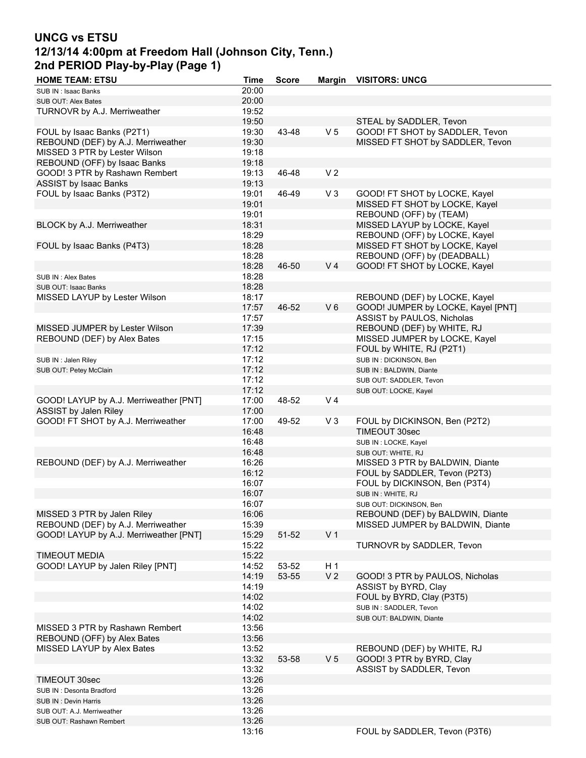# **UNCG vs ETSU 12/13/14 4:00pm at Freedom Hall (Johnson City, Tenn.) 2nd PERIOD Play-by-Play (Page 1)**

| <b>HOME TEAM: ETSU</b>                 | <b>Time</b> | <b>Score</b> | <b>Margin</b>  | <b>VISITORS: UNCG</b>              |
|----------------------------------------|-------------|--------------|----------------|------------------------------------|
| SUB IN: Isaac Banks                    | 20:00       |              |                |                                    |
| SUB OUT: Alex Bates                    | 20:00       |              |                |                                    |
| TURNOVR by A.J. Merriweather           | 19:52       |              |                |                                    |
|                                        | 19:50       |              |                | STEAL by SADDLER, Tevon            |
| FOUL by Isaac Banks (P2T1)             |             |              | V <sub>5</sub> | GOOD! FT SHOT by SADDLER, Tevon    |
|                                        | 19:30       | 43-48        |                |                                    |
| REBOUND (DEF) by A.J. Merriweather     | 19:30       |              |                | MISSED FT SHOT by SADDLER, Tevon   |
| MISSED 3 PTR by Lester Wilson          | 19:18       |              |                |                                    |
| REBOUND (OFF) by Isaac Banks           | 19:18       |              |                |                                    |
| GOOD! 3 PTR by Rashawn Rembert         | 19:13       | 46-48        | V <sub>2</sub> |                                    |
| ASSIST by Isaac Banks                  | 19:13       |              |                |                                    |
| FOUL by Isaac Banks (P3T2)             | 19:01       | 46-49        | $V_3$          | GOOD! FT SHOT by LOCKE, Kayel      |
|                                        | 19:01       |              |                | MISSED FT SHOT by LOCKE, Kayel     |
|                                        | 19:01       |              |                | REBOUND (OFF) by (TEAM)            |
| BLOCK by A.J. Merriweather             | 18:31       |              |                | MISSED LAYUP by LOCKE, Kayel       |
|                                        | 18:29       |              |                | REBOUND (OFF) by LOCKE, Kayel      |
| FOUL by Isaac Banks (P4T3)             | 18:28       |              |                | MISSED FT SHOT by LOCKE, Kayel     |
|                                        | 18:28       |              |                | REBOUND (OFF) by (DEADBALL)        |
|                                        | 18:28       |              | V <sub>4</sub> |                                    |
|                                        |             | 46-50        |                | GOOD! FT SHOT by LOCKE, Kayel      |
| SUB IN: Alex Bates                     | 18:28       |              |                |                                    |
| SUB OUT: Isaac Banks                   | 18:28       |              |                |                                    |
| MISSED LAYUP by Lester Wilson          | 18:17       |              |                | REBOUND (DEF) by LOCKE, Kayel      |
|                                        | 17:57       | 46-52        | $V_6$          | GOOD! JUMPER by LOCKE, Kayel [PNT] |
|                                        | 17:57       |              |                | ASSIST by PAULOS, Nicholas         |
| MISSED JUMPER by Lester Wilson         | 17:39       |              |                | REBOUND (DEF) by WHITE, RJ         |
| REBOUND (DEF) by Alex Bates            | 17:15       |              |                | MISSED JUMPER by LOCKE, Kayel      |
|                                        | 17:12       |              |                | FOUL by WHITE, RJ (P2T1)           |
| SUB IN: Jalen Riley                    | 17:12       |              |                | SUB IN : DICKINSON, Ben            |
| SUB OUT: Petey McClain                 | 17:12       |              |                | SUB IN: BALDWIN, Diante            |
|                                        | 17:12       |              |                | SUB OUT: SADDLER, Tevon            |
|                                        | 17:12       |              |                |                                    |
|                                        |             |              |                | SUB OUT: LOCKE, Kayel              |
| GOOD! LAYUP by A.J. Merriweather [PNT] | 17:00       | 48-52        | V <sub>4</sub> |                                    |
| ASSIST by Jalen Riley                  | 17:00       |              |                |                                    |
| GOOD! FT SHOT by A.J. Merriweather     | 17:00       | 49-52        | $V_3$          | FOUL by DICKINSON, Ben (P2T2)      |
|                                        | 16:48       |              |                | TIMEOUT 30sec                      |
|                                        | 16:48       |              |                | SUB IN: LOCKE, Kayel               |
|                                        | 16:48       |              |                | SUB OUT: WHITE, RJ                 |
| REBOUND (DEF) by A.J. Merriweather     | 16:26       |              |                | MISSED 3 PTR by BALDWIN, Diante    |
|                                        | 16:12       |              |                | FOUL by SADDLER, Tevon (P2T3)      |
|                                        | 16:07       |              |                | FOUL by DICKINSON, Ben (P3T4)      |
|                                        | 16:07       |              |                | SUB IN: WHITE, RJ                  |
|                                        | 16:07       |              |                | SUB OUT: DICKINSON, Ben            |
| MISSED 3 PTR by Jalen Riley            | 16:06       |              |                | REBOUND (DEF) by BALDWIN, Diante   |
| REBOUND (DEF) by A.J. Merriweather     | 15:39       |              |                | MISSED JUMPER by BALDWIN, Diante   |
| GOOD! LAYUP by A.J. Merriweather [PNT] | 15:29       | 51-52        | V <sub>1</sub> |                                    |
|                                        | 15:22       |              |                | TURNOVR by SADDLER, Tevon          |
| <b>TIMEOUT MEDIA</b>                   | 15:22       |              |                |                                    |
|                                        |             |              |                |                                    |
| GOOD! LAYUP by Jalen Riley [PNT]       | 14:52       | 53-52        | H <sub>1</sub> |                                    |
|                                        | 14:19       | 53-55        | V <sub>2</sub> | GOOD! 3 PTR by PAULOS, Nicholas    |
|                                        | 14:19       |              |                | ASSIST by BYRD, Clay               |
|                                        | 14:02       |              |                | FOUL by BYRD, Clay (P3T5)          |
|                                        | 14:02       |              |                | SUB IN: SADDLER, Tevon             |
|                                        | 14:02       |              |                | SUB OUT: BALDWIN, Diante           |
| MISSED 3 PTR by Rashawn Rembert        | 13:56       |              |                |                                    |
| REBOUND (OFF) by Alex Bates            | 13:56       |              |                |                                    |
| MISSED LAYUP by Alex Bates             | 13:52       |              |                | REBOUND (DEF) by WHITE, RJ         |
|                                        | 13:32       | 53-58        | V <sub>5</sub> | GOOD! 3 PTR by BYRD, Clay          |
|                                        | 13:32       |              |                | ASSIST by SADDLER, Tevon           |
| TIMEOUT 30sec                          | 13:26       |              |                |                                    |
| SUB IN: Desonta Bradford               | 13:26       |              |                |                                    |
|                                        | 13:26       |              |                |                                    |
| SUB IN: Devin Harris                   |             |              |                |                                    |
| SUB OUT: A.J. Merriweather             | 13:26       |              |                |                                    |
| SUB OUT: Rashawn Rembert               | 13:26       |              |                |                                    |
|                                        | 13:16       |              |                | FOUL by SADDLER, Tevon (P3T6)      |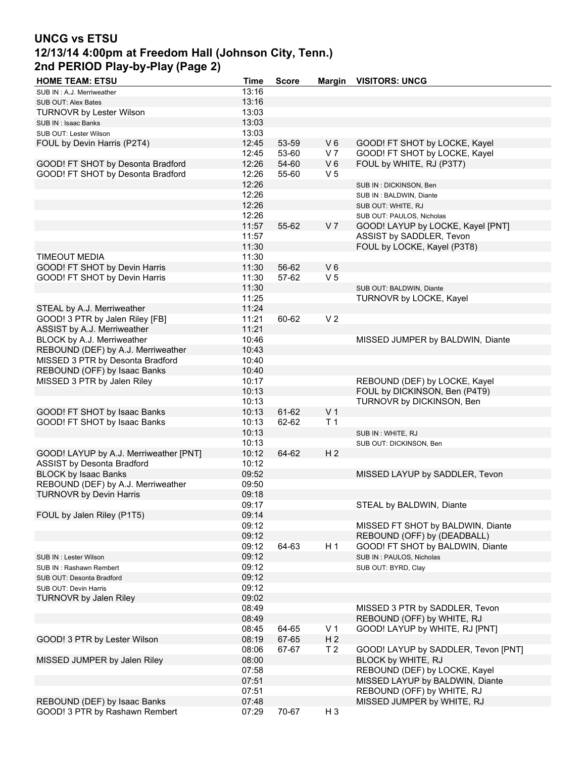# **UNCG vs ETSU 12/13/14 4:00pm at Freedom Hall (Johnson City, Tenn.) 2nd PERIOD Play-by-Play (Page 2)**

| <b>HOME TEAM: ETSU</b>                 | Time  | <b>Score</b> | <b>Margin</b>  | <b>VISITORS: UNCG</b>               |
|----------------------------------------|-------|--------------|----------------|-------------------------------------|
| SUB IN: A.J. Merriweather              | 13:16 |              |                |                                     |
| SUB OUT: Alex Bates                    | 13:16 |              |                |                                     |
| <b>TURNOVR by Lester Wilson</b>        | 13:03 |              |                |                                     |
| SUB IN: Isaac Banks                    | 13:03 |              |                |                                     |
| SUB OUT: Lester Wilson                 | 13:03 |              |                |                                     |
| FOUL by Devin Harris (P2T4)            | 12:45 | 53-59        | $V_6$          | GOOD! FT SHOT by LOCKE, Kayel       |
|                                        | 12:45 | 53-60        | V <sub>7</sub> |                                     |
|                                        |       |              |                | GOOD! FT SHOT by LOCKE, Kayel       |
| GOOD! FT SHOT by Desonta Bradford      | 12:26 | 54-60        | $V_6$          | FOUL by WHITE, RJ (P3T7)            |
| GOOD! FT SHOT by Desonta Bradford      | 12:26 | 55-60        | V <sub>5</sub> |                                     |
|                                        | 12:26 |              |                | SUB IN : DICKINSON, Ben             |
|                                        | 12:26 |              |                | SUB IN: BALDWIN, Diante             |
|                                        | 12:26 |              |                | SUB OUT: WHITE, RJ                  |
|                                        | 12:26 |              |                | SUB OUT: PAULOS, Nicholas           |
|                                        | 11:57 | 55-62        | V <sub>7</sub> | GOOD! LAYUP by LOCKE, Kayel [PNT]   |
|                                        | 11:57 |              |                | ASSIST by SADDLER, Tevon            |
|                                        | 11:30 |              |                | FOUL by LOCKE, Kayel (P3T8)         |
|                                        |       |              |                |                                     |
| <b>TIMEOUT MEDIA</b>                   | 11:30 |              |                |                                     |
| GOOD! FT SHOT by Devin Harris          | 11:30 | 56-62        | $V_6$          |                                     |
| GOOD! FT SHOT by Devin Harris          | 11:30 | 57-62        | V <sub>5</sub> |                                     |
|                                        | 11:30 |              |                | SUB OUT: BALDWIN, Diante            |
|                                        | 11:25 |              |                | TURNOVR by LOCKE, Kayel             |
| STEAL by A.J. Merriweather             | 11:24 |              |                |                                     |
| GOOD! 3 PTR by Jalen Riley [FB]        | 11:21 | 60-62        | V <sub>2</sub> |                                     |
| ASSIST by A.J. Merriweather            | 11:21 |              |                |                                     |
|                                        |       |              |                |                                     |
| BLOCK by A.J. Merriweather             | 10:46 |              |                | MISSED JUMPER by BALDWIN, Diante    |
| REBOUND (DEF) by A.J. Merriweather     | 10:43 |              |                |                                     |
| MISSED 3 PTR by Desonta Bradford       | 10:40 |              |                |                                     |
| REBOUND (OFF) by Isaac Banks           | 10:40 |              |                |                                     |
| MISSED 3 PTR by Jalen Riley            | 10:17 |              |                | REBOUND (DEF) by LOCKE, Kayel       |
|                                        | 10:13 |              |                | FOUL by DICKINSON, Ben (P4T9)       |
|                                        | 10:13 |              |                | TURNOVR by DICKINSON, Ben           |
| GOOD! FT SHOT by Isaac Banks           | 10:13 | 61-62        | V <sub>1</sub> |                                     |
| GOOD! FT SHOT by Isaac Banks           | 10:13 | 62-62        | T <sub>1</sub> |                                     |
|                                        | 10:13 |              |                |                                     |
|                                        |       |              |                | SUB IN: WHITE, RJ                   |
|                                        | 10:13 |              |                | SUB OUT: DICKINSON, Ben             |
| GOOD! LAYUP by A.J. Merriweather [PNT] | 10:12 | 64-62        | H <sub>2</sub> |                                     |
| <b>ASSIST by Desonta Bradford</b>      | 10:12 |              |                |                                     |
| <b>BLOCK by Isaac Banks</b>            | 09:52 |              |                | MISSED LAYUP by SADDLER, Tevon      |
| REBOUND (DEF) by A.J. Merriweather     | 09:50 |              |                |                                     |
| <b>TURNOVR by Devin Harris</b>         | 09:18 |              |                |                                     |
|                                        | 09:17 |              |                | STEAL by BALDWIN, Diante            |
| FOUL by Jalen Riley (P1T5)             | 09:14 |              |                |                                     |
|                                        | 09:12 |              |                | MISSED FT SHOT by BALDWIN, Diante   |
|                                        | 09:12 |              |                | REBOUND (OFF) by (DEADBALL)         |
|                                        |       |              |                |                                     |
|                                        | 09:12 | 64-63        | H <sub>1</sub> | GOOD! FT SHOT by BALDWIN, Diante    |
| SUB IN: Lester Wilson                  | 09:12 |              |                | SUB IN: PAULOS, Nicholas            |
| SUB IN: Rashawn Rembert                | 09:12 |              |                | SUB OUT: BYRD, Clay                 |
| SUB OUT: Desonta Bradford              | 09:12 |              |                |                                     |
| SUB OUT: Devin Harris                  | 09:12 |              |                |                                     |
| TURNOVR by Jalen Riley                 | 09:02 |              |                |                                     |
|                                        | 08:49 |              |                | MISSED 3 PTR by SADDLER, Tevon      |
|                                        | 08:49 |              |                | REBOUND (OFF) by WHITE, RJ          |
|                                        | 08:45 | 64-65        | V <sub>1</sub> | GOOD! LAYUP by WHITE, RJ [PNT]      |
| GOOD! 3 PTR by Lester Wilson           | 08:19 | 67-65        | H <sub>2</sub> |                                     |
|                                        |       |              |                |                                     |
|                                        | 08:06 | 67-67        | T <sub>2</sub> | GOOD! LAYUP by SADDLER, Tevon [PNT] |
| MISSED JUMPER by Jalen Riley           | 08:00 |              |                | BLOCK by WHITE, RJ                  |
|                                        | 07:58 |              |                | REBOUND (DEF) by LOCKE, Kayel       |
|                                        | 07:51 |              |                | MISSED LAYUP by BALDWIN, Diante     |
|                                        | 07:51 |              |                | REBOUND (OFF) by WHITE, RJ          |
| REBOUND (DEF) by Isaac Banks           | 07:48 |              |                | MISSED JUMPER by WHITE, RJ          |
| GOOD! 3 PTR by Rashawn Rembert         | 07:29 | 70-67        | H <sub>3</sub> |                                     |
|                                        |       |              |                |                                     |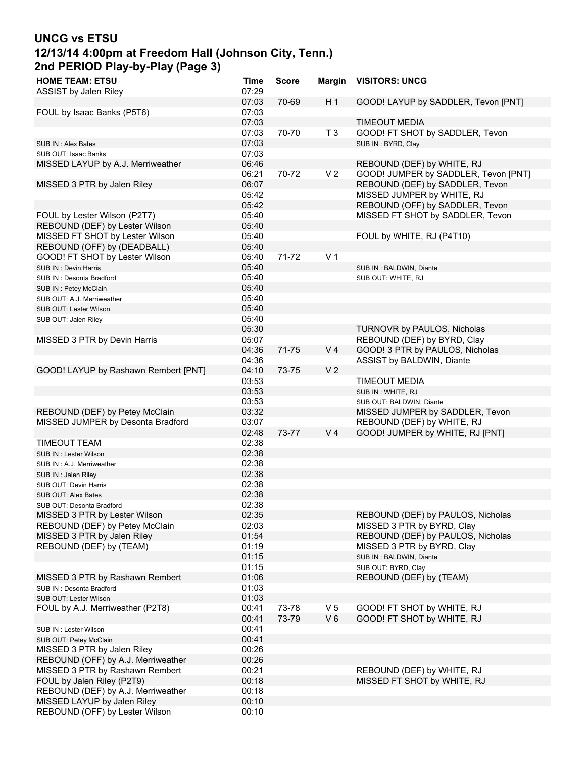# **UNCG vs ETSU 12/13/14 4:00pm at Freedom Hall (Johnson City, Tenn.) 2nd PERIOD Play-by-Play (Page 3)**

| <b>HOME TEAM: ETSU</b>               | <b>Time</b> | <b>Score</b> | Margin         | <b>VISITORS: UNCG</b>                |
|--------------------------------------|-------------|--------------|----------------|--------------------------------------|
| ASSIST by Jalen Riley                | 07:29       |              |                |                                      |
|                                      | 07:03       | 70-69        | H <sub>1</sub> | GOOD! LAYUP by SADDLER, Tevon [PNT]  |
| FOUL by Isaac Banks (P5T6)           | 07:03       |              |                |                                      |
|                                      | 07:03       |              |                | <b>TIMEOUT MEDIA</b>                 |
|                                      | 07:03       | 70-70        | T <sub>3</sub> | GOOD! FT SHOT by SADDLER, Tevon      |
| SUB IN: Alex Bates                   | 07:03       |              |                | SUB IN: BYRD, Clay                   |
| SUB OUT: Isaac Banks                 | 07:03       |              |                |                                      |
| MISSED LAYUP by A.J. Merriweather    | 06:46       |              |                | REBOUND (DEF) by WHITE, RJ           |
|                                      | 06:21       | 70-72        | V <sub>2</sub> | GOOD! JUMPER by SADDLER, Tevon [PNT] |
| MISSED 3 PTR by Jalen Riley          | 06:07       |              |                | REBOUND (DEF) by SADDLER, Tevon      |
|                                      | 05:42       |              |                | MISSED JUMPER by WHITE, RJ           |
|                                      | 05:42       |              |                | REBOUND (OFF) by SADDLER, Tevon      |
|                                      |             |              |                |                                      |
| FOUL by Lester Wilson (P2T7)         | 05:40       |              |                | MISSED FT SHOT by SADDLER, Tevon     |
| REBOUND (DEF) by Lester Wilson       | 05:40       |              |                |                                      |
| MISSED FT SHOT by Lester Wilson      | 05:40       |              |                | FOUL by WHITE, RJ (P4T10)            |
| REBOUND (OFF) by (DEADBALL)          | 05:40       |              |                |                                      |
| GOOD! FT SHOT by Lester Wilson       | 05:40       | 71-72        | V <sub>1</sub> |                                      |
| SUB IN: Devin Harris                 | 05:40       |              |                | SUB IN: BALDWIN, Diante              |
| SUB IN: Desonta Bradford             | 05:40       |              |                | SUB OUT: WHITE, RJ                   |
| SUB IN: Petey McClain                | 05:40       |              |                |                                      |
| SUB OUT: A.J. Merriweather           | 05:40       |              |                |                                      |
| SUB OUT: Lester Wilson               | 05:40       |              |                |                                      |
| SUB OUT: Jalen Riley                 | 05:40       |              |                |                                      |
|                                      | 05:30       |              |                | TURNOVR by PAULOS, Nicholas          |
| MISSED 3 PTR by Devin Harris         | 05:07       |              |                | REBOUND (DEF) by BYRD, Clay          |
|                                      | 04:36       | 71-75        | V <sub>4</sub> | GOOD! 3 PTR by PAULOS, Nicholas      |
|                                      | 04:36       |              |                | ASSIST by BALDWIN, Diante            |
| GOOD! LAYUP by Rashawn Rembert [PNT] | 04:10       | 73-75        | V <sub>2</sub> |                                      |
|                                      | 03:53       |              |                | <b>TIMEOUT MEDIA</b>                 |
|                                      | 03:53       |              |                |                                      |
|                                      |             |              |                | SUB IN: WHITE, RJ                    |
|                                      | 03:53       |              |                | SUB OUT: BALDWIN, Diante             |
| REBOUND (DEF) by Petey McClain       | 03:32       |              |                | MISSED JUMPER by SADDLER, Tevon      |
| MISSED JUMPER by Desonta Bradford    | 03:07       |              |                | REBOUND (DEF) by WHITE, RJ           |
|                                      | 02:48       | 73-77        | V <sub>4</sub> | GOOD! JUMPER by WHITE, RJ [PNT]      |
| <b>TIMEOUT TEAM</b>                  | 02:38       |              |                |                                      |
| SUB IN: Lester Wilson                | 02:38       |              |                |                                      |
| SUB IN: A.J. Merriweather            | 02:38       |              |                |                                      |
| SUB IN: Jalen Riley                  | 02:38       |              |                |                                      |
| SUB OUT: Devin Harris                | 02:38       |              |                |                                      |
| SUB OUT: Alex Bates                  | 02:38       |              |                |                                      |
| SUB OUT: Desonta Bradford            | 02:38       |              |                |                                      |
| MISSED 3 PTR by Lester Wilson        | 02:35       |              |                | REBOUND (DEF) by PAULOS, Nicholas    |
| REBOUND (DEF) by Petey McClain       | 02:03       |              |                | MISSED 3 PTR by BYRD, Clay           |
| MISSED 3 PTR by Jalen Riley          | 01:54       |              |                | REBOUND (DEF) by PAULOS, Nicholas    |
| REBOUND (DEF) by (TEAM)              | 01:19       |              |                | MISSED 3 PTR by BYRD, Clay           |
|                                      | 01:15       |              |                | SUB IN: BALDWIN, Diante              |
|                                      | 01:15       |              |                | SUB OUT: BYRD, Clay                  |
| MISSED 3 PTR by Rashawn Rembert      | 01:06       |              |                | REBOUND (DEF) by (TEAM)              |
|                                      | 01:03       |              |                |                                      |
| SUB IN: Desonta Bradford             |             |              |                |                                      |
| SUB OUT: Lester Wilson               | 01:03       |              |                |                                      |
| FOUL by A.J. Merriweather (P2T8)     | 00:41       | 73-78        | V <sub>5</sub> | GOOD! FT SHOT by WHITE, RJ           |
|                                      | 00:41       | 73-79        | $V_6$          | GOOD! FT SHOT by WHITE, RJ           |
| SUB IN: Lester Wilson                | 00:41       |              |                |                                      |
| SUB OUT: Petey McClain               | 00:41       |              |                |                                      |
| MISSED 3 PTR by Jalen Riley          | 00:26       |              |                |                                      |
| REBOUND (OFF) by A.J. Merriweather   | 00:26       |              |                |                                      |
| MISSED 3 PTR by Rashawn Rembert      | 00:21       |              |                | REBOUND (DEF) by WHITE, RJ           |
| FOUL by Jalen Riley (P2T9)           | 00:18       |              |                | MISSED FT SHOT by WHITE, RJ          |
| REBOUND (DEF) by A.J. Merriweather   | 00:18       |              |                |                                      |
| MISSED LAYUP by Jalen Riley          | 00:10       |              |                |                                      |
| REBOUND (OFF) by Lester Wilson       | 00:10       |              |                |                                      |
|                                      |             |              |                |                                      |